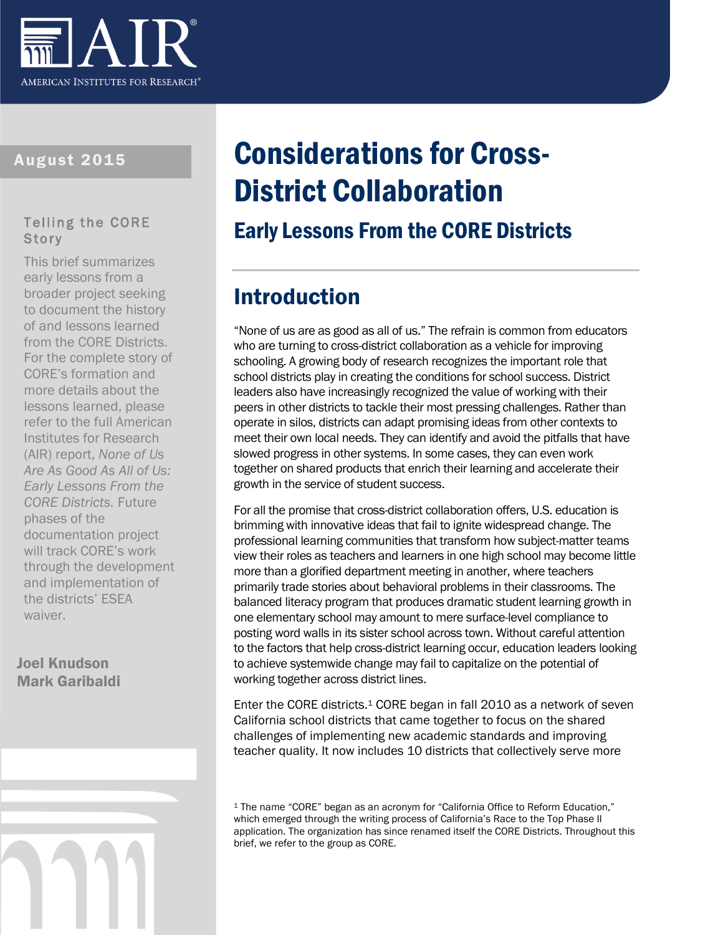

#### August 2015

#### Telling the CORE **Story**

This brief summarizes early lessons from a broader project seeking to document the history of and lessons learned from the CORE Districts. For the complete story of CORE's formation and more details about the lessons learned, please refer to the full American Institutes for Research (AIR) report, *None of Us Are As Good As All of Us: Early Lessons From the CORE Districts.* Future phases of the documentation project will track CORE's work through the development and implementation of the districts' ESEA waiver.

#### Joel Knudson Mark Garibaldi

# Considerations for Cross-District Collaboration

### Early Lessons From the CORE Districts

# Introduction

"None of us are as good as all of us." The refrain is common from educators who are turning to cross-district collaboration as a vehicle for improving schooling. A growing body of research recognizes the important role that school districts play in creating the conditions for school success. District leaders also have increasingly recognized the value of working with their peers in other districts to tackle their most pressing challenges. Rather than operate in silos, districts can adapt promising ideas from other contexts to meet their own local needs. They can identify and avoid the pitfalls that have slowed progress in other systems. In some cases, they can even work together on shared products that enrich their learning and accelerate their growth in the service of student success.

For all the promise that cross-district collaboration offers, U.S. education is brimming with innovative ideas that fail to ignite widespread change. The professional learning communities that transform how subject-matter teams view their roles as teachers and learners in one high school may become little more than a glorified department meeting in another, where teachers primarily trade stories about behavioral problems in their classrooms. The balanced literacy program that produces dramatic student learning growth in one elementary school may amount to mere surface-level compliance to posting word walls in its sister school across town. Without careful attention to the factors that help cross-district learning occur, education leaders looking to achieve systemwide change may fail to capitalize on the potential of working together across district lines.

Enter the CORE districts.<sup>1</sup> CORE began in fall 2010 as a network of seven California school districts that came together to focus on the shared challenges of implementing new academic standards and improving teacher quality. It now includes 10 districts that collectively serve more

<sup>1</sup> The name "CORE" began as an acronym for "California Office to Reform Education," which emerged through the writing process of California's Race to the Top Phase II application. The organization has since renamed itself the CORE Districts. Throughout this brief, we refer to the group as CORE.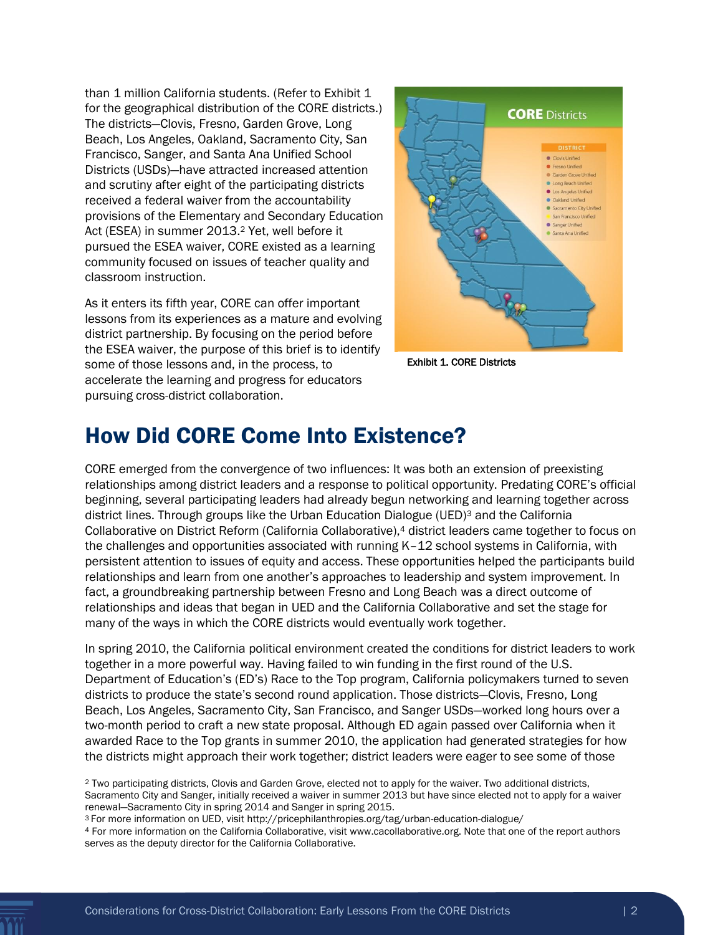than 1 million California students. (Refer to Exhibit 1 for the geographical distribution of the CORE districts.) The districts—Clovis, Fresno, Garden Grove, Long Beach, Los Angeles, Oakland, Sacramento City, San Francisco, Sanger, and Santa Ana Unified School Districts (USDs)—have attracted increased attention and scrutiny after eight of the participating districts received a federal waiver from the accountability provisions of the Elementary and Secondary Education Act (ESEA) in summer 2013.<sup>2</sup> Yet, well before it pursued the ESEA waiver, CORE existed as a learning community focused on issues of teacher quality and classroom instruction.

As it enters its fifth year, CORE can offer important lessons from its experiences as a mature and evolving district partnership. By focusing on the period before the ESEA waiver, the purpose of this brief is to identify some of those lessons and, in the process, to accelerate the learning and progress for educators pursuing cross-district collaboration.



Exhibit 1. CORE Districts

### How Did CORE Come Into Existence?

CORE emerged from the convergence of two influences: It was both an extension of preexisting relationships among district leaders and a response to political opportunity. Predating CORE's official beginning, several participating leaders had already begun networking and learning together across district lines. Through groups like the Urban Education Dialogue (UED)<sup>3</sup> and the California Collaborative on District Reform (California Collaborative),<sup>4</sup> district leaders came together to focus on the challenges and opportunities associated with running K–12 school systems in California, with persistent attention to issues of equity and access. These opportunities helped the participants build relationships and learn from one another's approaches to leadership and system improvement. In fact, a groundbreaking partnership between Fresno and Long Beach was a direct outcome of relationships and ideas that began in UED and the California Collaborative and set the stage for many of the ways in which the CORE districts would eventually work together.

In spring 2010, the California political environment created the conditions for district leaders to work together in a more powerful way. Having failed to win funding in the first round of the U.S. Department of Education's (ED's) Race to the Top program, California policymakers turned to seven districts to produce the state's second round application. Those districts—Clovis, Fresno, Long Beach, Los Angeles, Sacramento City, San Francisco, and Sanger USDs—worked long hours over a two-month period to craft a new state proposal. Although ED again passed over California when it awarded Race to the Top grants in summer 2010, the application had generated strategies for how the districts might approach their work together; district leaders were eager to see some of those

<sup>2</sup> Two participating districts, Clovis and Garden Grove, elected not to apply for the waiver. Two additional districts, Sacramento City and Sanger, initially received a waiver in summer 2013 but have since elected not to apply for a waiver renewal—Sacramento City in spring 2014 and Sanger in spring 2015.

<sup>3</sup> For more information on UED, visit http://pricephilanthropies.org/tag/urban-education-dialogue/

<sup>4</sup> For more information on the California Collaborative, visit www.cacollaborative.org. Note that one of the report authors serves as the deputy director for the California Collaborative.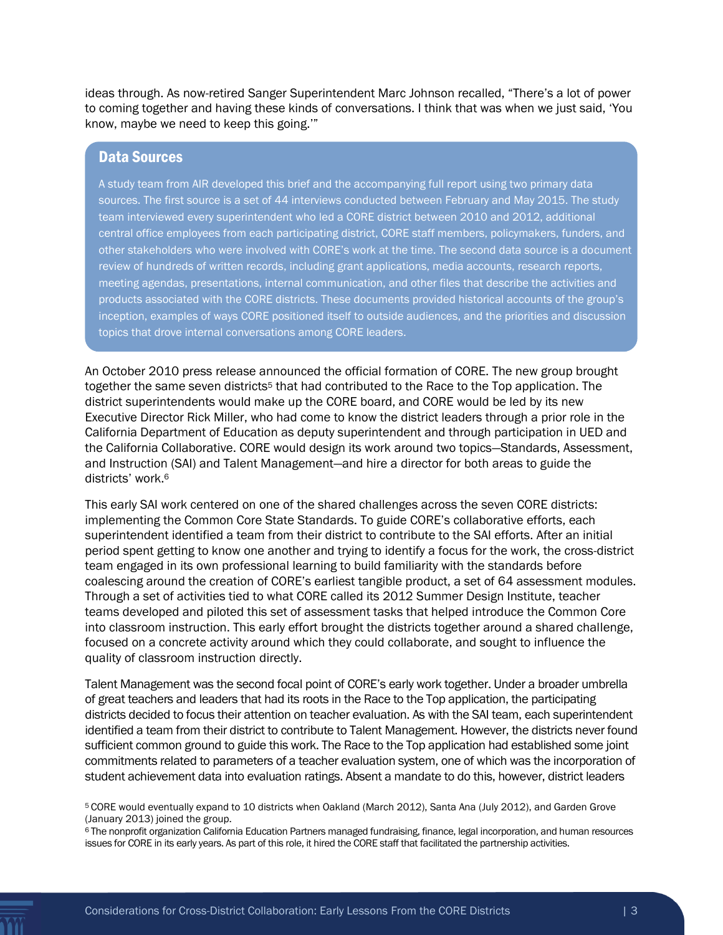ideas through. As now-retired Sanger Superintendent Marc Johnson recalled, "There's a lot of power to coming together and having these kinds of conversations. I think that was when we just said, 'You know, maybe we need to keep this going.'"

#### Data Sources

A study team from AIR developed this brief and the accompanying full report using two primary data sources. The first source is a set of 44 interviews conducted between February and May 2015. The study team interviewed every superintendent who led a CORE district between 2010 and 2012, additional central office employees from each participating district, CORE staff members, policymakers, funders, and other stakeholders who were involved with CORE's work at the time. The second data source is a document review of hundreds of written records, including grant applications, media accounts, research reports, meeting agendas, presentations, internal communication, and other files that describe the activities and products associated with the CORE districts. These documents provided historical accounts of the group's inception, examples of ways CORE positioned itself to outside audiences, and the priorities and discussion topics that drove internal conversations among CORE leaders.

An October 2010 press release announced the official formation of CORE. The new group brought together the same seven districts<sup>5</sup> that had contributed to the Race to the Top application. The district superintendents would make up the CORE board, and CORE would be led by its new Executive Director Rick Miller, who had come to know the district leaders through a prior role in the California Department of Education as deputy superintendent and through participation in UED and the California Collaborative. CORE would design its work around two topics—Standards, Assessment, and Instruction (SAI) and Talent Management—and hire a director for both areas to guide the districts' work.<sup>6</sup>

This early SAI work centered on one of the shared challenges across the seven CORE districts: implementing the Common Core State Standards. To guide CORE's collaborative efforts, each superintendent identified a team from their district to contribute to the SAI efforts. After an initial period spent getting to know one another and trying to identify a focus for the work, the cross-district team engaged in its own professional learning to build familiarity with the standards before coalescing around the creation of CORE's earliest tangible product, a set of 64 assessment modules. Through a set of activities tied to what CORE called its 2012 Summer Design Institute, teacher teams developed and piloted this set of assessment tasks that helped introduce the Common Core into classroom instruction. This early effort brought the districts together around a shared challenge, focused on a concrete activity around which they could collaborate, and sought to influence the quality of classroom instruction directly.

Talent Management was the second focal point of CORE's early work together. Under a broader umbrella of great teachers and leaders that had its roots in the Race to the Top application, the participating districts decided to focus their attention on teacher evaluation. As with the SAI team, each superintendent identified a team from their district to contribute to Talent Management. However, the districts never found sufficient common ground to guide this work. The Race to the Top application had established some joint commitments related to parameters of a teacher evaluation system, one of which was the incorporation of student achievement data into evaluation ratings. Absent a mandate to do this, however, district leaders

<sup>5</sup> CORE would eventually expand to 10 districts when Oakland (March 2012), Santa Ana (July 2012), and Garden Grove (January 2013) joined the group.

<sup>6</sup> The nonprofit organization California Education Partners managed fundraising, finance, legal incorporation, and human resources issues for CORE in its early years. As part of this role, it hired the CORE staff that facilitated the partnership activities.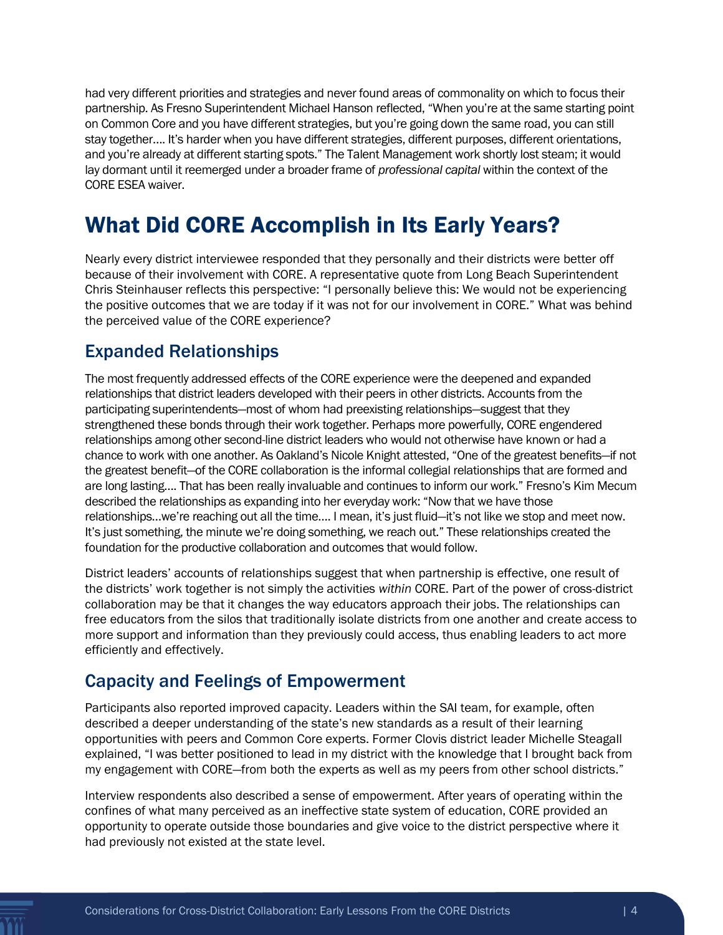had very different priorities and strategies and never found areas of commonality on which to focus their partnership. As Fresno Superintendent Michael Hanson reflected, "When you're at the same starting point on Common Core and you have different strategies, but you're going down the same road, you can still stay together…. It's harder when you have different strategies, different purposes, different orientations, and you're already at different starting spots." The Talent Management work shortly lost steam; it would lay dormant until it reemerged under a broader frame of *professional capital* within the context of the CORE ESEA waiver.

### What Did CORE Accomplish in Its Early Years?

Nearly every district interviewee responded that they personally and their districts were better off because of their involvement with CORE. A representative quote from Long Beach Superintendent Chris Steinhauser reflects this perspective: "I personally believe this: We would not be experiencing the positive outcomes that we are today if it was not for our involvement in CORE." What was behind the perceived value of the CORE experience?

### Expanded Relationships

The most frequently addressed effects of the CORE experience were the deepened and expanded relationships that district leaders developed with their peers in other districts. Accounts from the participating superintendents—most of whom had preexisting relationships—suggest that they strengthened these bonds through their work together. Perhaps more powerfully, CORE engendered relationships among other second-line district leaders who would not otherwise have known or had a chance to work with one another. As Oakland's Nicole Knight attested, "One of the greatest benefits—if not the greatest benefit—of the CORE collaboration is the informal collegial relationships that are formed and are long lasting…. That has been really invaluable and continues to inform our work." Fresno's Kim Mecum described the relationships as expanding into her everyday work: "Now that we have those relationships…we're reaching out all the time…. I mean, it's just fluid—it's not like we stop and meet now. It's just something, the minute we're doing something, we reach out." These relationships created the foundation for the productive collaboration and outcomes that would follow.

District leaders' accounts of relationships suggest that when partnership is effective, one result of the districts' work together is not simply the activities *within* CORE. Part of the power of cross-district collaboration may be that it changes the way educators approach their jobs. The relationships can free educators from the silos that traditionally isolate districts from one another and create access to more support and information than they previously could access, thus enabling leaders to act more efficiently and effectively.

### Capacity and Feelings of Empowerment

Participants also reported improved capacity. Leaders within the SAI team, for example, often described a deeper understanding of the state's new standards as a result of their learning opportunities with peers and Common Core experts. Former Clovis district leader Michelle Steagall explained, "I was better positioned to lead in my district with the knowledge that I brought back from my engagement with CORE—from both the experts as well as my peers from other school districts."

Interview respondents also described a sense of empowerment. After years of operating within the confines of what many perceived as an ineffective state system of education, CORE provided an opportunity to operate outside those boundaries and give voice to the district perspective where it had previously not existed at the state level.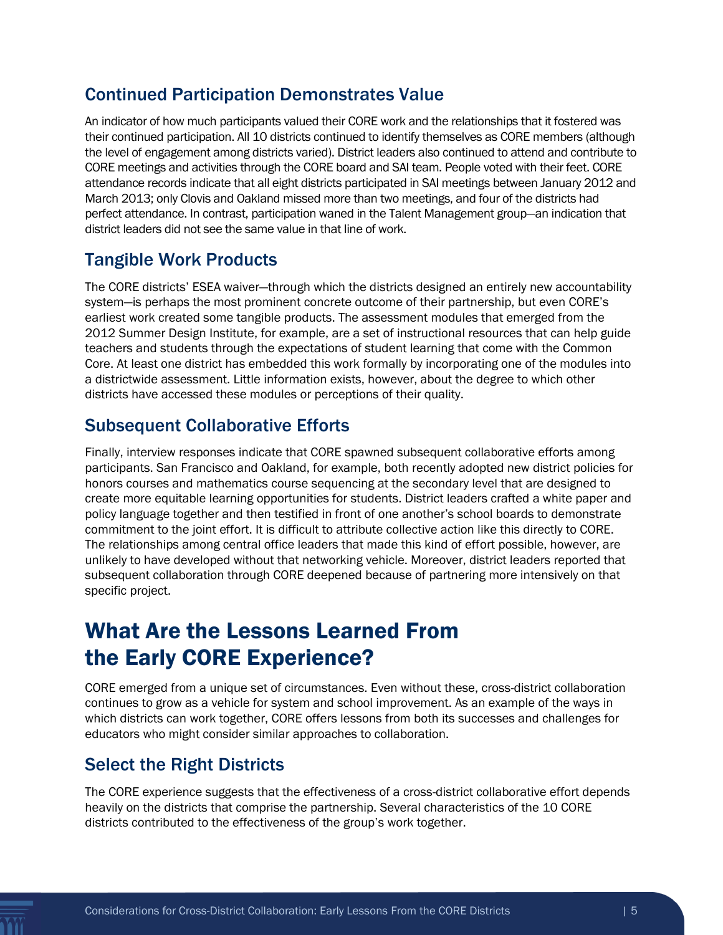#### Continued Participation Demonstrates Value

An indicator of how much participants valued their CORE work and the relationships that it fostered was their continued participation. All 10 districts continued to identify themselves as CORE members (although the level of engagement among districts varied). District leaders also continued to attend and contribute to CORE meetings and activities through the CORE board and SAI team. People voted with their feet. CORE attendance records indicate that all eight districts participated in SAI meetings between January 2012 and March 2013; only Clovis and Oakland missed more than two meetings, and four of the districts had perfect attendance. In contrast, participation waned in the Talent Management group—an indication that district leaders did not see the same value in that line of work.

### Tangible Work Products

The CORE districts' ESEA waiver—through which the districts designed an entirely new accountability system—is perhaps the most prominent concrete outcome of their partnership, but even CORE's earliest work created some tangible products. The assessment modules that emerged from the 2012 Summer Design Institute, for example, are a set of instructional resources that can help guide teachers and students through the expectations of student learning that come with the Common Core. At least one district has embedded this work formally by incorporating one of the modules into a districtwide assessment. Little information exists, however, about the degree to which other districts have accessed these modules or perceptions of their quality.

### Subsequent Collaborative Efforts

Finally, interview responses indicate that CORE spawned subsequent collaborative efforts among participants. San Francisco and Oakland, for example, both recently adopted new district policies for honors courses and mathematics course sequencing at the secondary level that are designed to create more equitable learning opportunities for students. District leaders crafted a white paper and policy language together and then testified in front of one another's school boards to demonstrate commitment to the joint effort. It is difficult to attribute collective action like this directly to CORE. The relationships among central office leaders that made this kind of effort possible, however, are unlikely to have developed without that networking vehicle. Moreover, district leaders reported that subsequent collaboration through CORE deepened because of partnering more intensively on that specific project.

# What Are the Lessons Learned From the Early CORE Experience?

CORE emerged from a unique set of circumstances. Even without these, cross-district collaboration continues to grow as a vehicle for system and school improvement. As an example of the ways in which districts can work together, CORE offers lessons from both its successes and challenges for educators who might consider similar approaches to collaboration.

### Select the Right Districts

The CORE experience suggests that the effectiveness of a cross-district collaborative effort depends heavily on the districts that comprise the partnership. Several characteristics of the 10 CORE districts contributed to the effectiveness of the group's work together.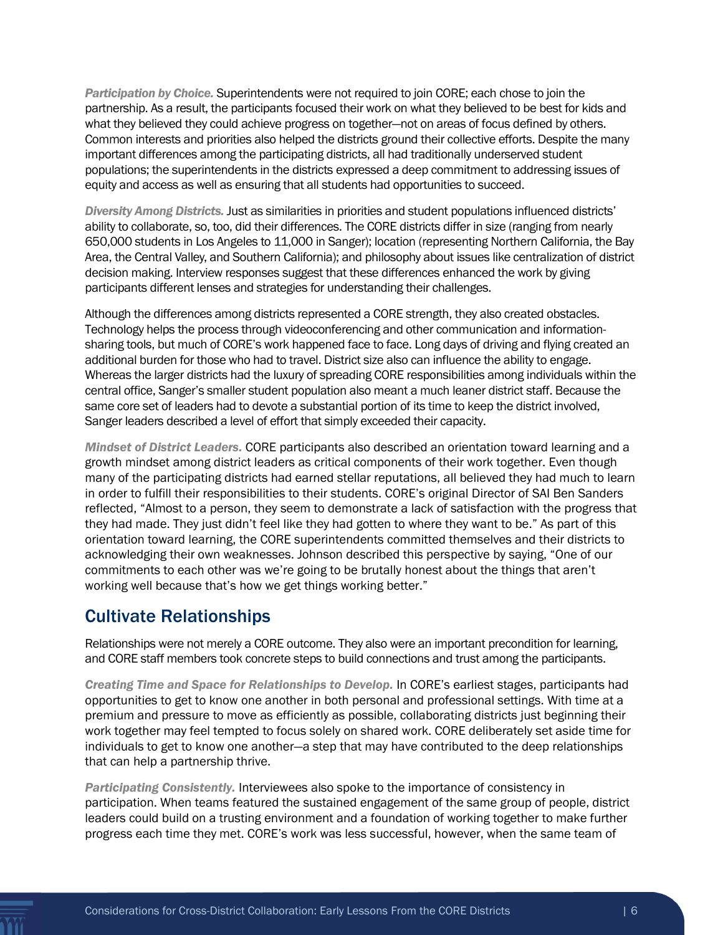*Participation by Choice.* Superintendents were not required to join CORE; each chose to join the partnership. As a result, the participants focused their work on what they believed to be best for kids and what they believed they could achieve progress on together—not on areas of focus defined by others. Common interests and priorities also helped the districts ground their collective efforts. Despite the many important differences among the participating districts, all had traditionally underserved student populations; the superintendents in the districts expressed a deep commitment to addressing issues of equity and access as well as ensuring that all students had opportunities to succeed.

*Diversity Among Districts.* Just as similarities in priorities and student populations influenced districts' ability to collaborate, so, too, did their differences. The CORE districts differ in size (ranging from nearly 650,000 students in Los Angeles to 11,000 in Sanger); location (representing Northern California, the Bay Area, the Central Valley, and Southern California); and philosophy about issues like centralization of district decision making. Interview responses suggest that these differences enhanced the work by giving participants different lenses and strategies for understanding their challenges.

Although the differences among districts represented a CORE strength, they also created obstacles. Technology helps the process through videoconferencing and other communication and informationsharing tools, but much of CORE's work happened face to face. Long days of driving and flying created an additional burden for those who had to travel. District size also can influence the ability to engage. Whereas the larger districts had the luxury of spreading CORE responsibilities among individuals within the central office, Sanger's smaller student population also meant a much leaner district staff. Because the same core set of leaders had to devote a substantial portion of its time to keep the district involved, Sanger leaders described a level of effort that simply exceeded their capacity.

*Mindset of District Leaders.* CORE participants also described an orientation toward learning and a growth mindset among district leaders as critical components of their work together. Even though many of the participating districts had earned stellar reputations, all believed they had much to learn in order to fulfill their responsibilities to their students. CORE's original Director of SAI Ben Sanders reflected, "Almost to a person, they seem to demonstrate a lack of satisfaction with the progress that they had made. They just didn't feel like they had gotten to where they want to be." As part of this orientation toward learning, the CORE superintendents committed themselves and their districts to acknowledging their own weaknesses. Johnson described this perspective by saying, "One of our commitments to each other was we're going to be brutally honest about the things that aren't working well because that's how we get things working better."

#### Cultivate Relationships

Relationships were not merely a CORE outcome. They also were an important precondition for learning, and CORE staff members took concrete steps to build connections and trust among the participants.

*Creating Time and Space for Relationships to Develop.* In CORE's earliest stages, participants had opportunities to get to know one another in both personal and professional settings. With time at a premium and pressure to move as efficiently as possible, collaborating districts just beginning their work together may feel tempted to focus solely on shared work. CORE deliberately set aside time for individuals to get to know one another—a step that may have contributed to the deep relationships that can help a partnership thrive.

*Participating Consistently.* Interviewees also spoke to the importance of consistency in participation. When teams featured the sustained engagement of the same group of people, district leaders could build on a trusting environment and a foundation of working together to make further progress each time they met. CORE's work was less successful, however, when the same team of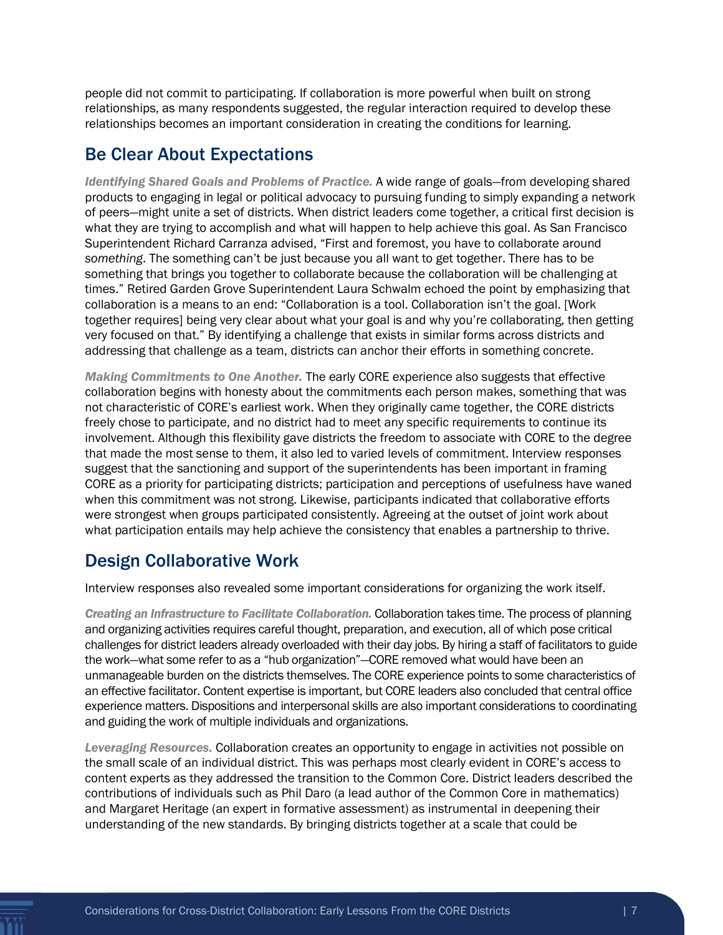people did not commit to participating. If collaboration is more powerful when built on strong relationships, as many respondents suggested, the regular interaction required to develop these relationships becomes an important consideration in creating the conditions for learning.

#### Be Clear About Expectations

*Identifying Shared Goals and Problems of Practice.* A wide range of goals—from developing shared products to engaging in legal or political advocacy to pursuing funding to simply expanding a network of peers—might unite a set of districts. When district leaders come together, a critical first decision is what they are trying to accomplish and what will happen to help achieve this goal. As San Francisco Superintendent Richard Carranza advised, "First and foremost, you have to collaborate around *something*. The something can't be just because you all want to get together. There has to be something that brings you together to collaborate because the collaboration will be challenging at times." Retired Garden Grove Superintendent Laura Schwalm echoed the point by emphasizing that collaboration is a means to an end: "Collaboration is a tool. Collaboration isn't the goal. [Work together requires] being very clear about what your goal is and why you're collaborating, then getting very focused on that." By identifying a challenge that exists in similar forms across districts and addressing that challenge as a team, districts can anchor their efforts in something concrete.

*Making Commitments to One Another.* The early CORE experience also suggests that effective collaboration begins with honesty about the commitments each person makes, something that was not characteristic of CORE's earliest work. When they originally came together, the CORE districts freely chose to participate, and no district had to meet any specific requirements to continue its involvement. Although this flexibility gave districts the freedom to associate with CORE to the degree that made the most sense to them, it also led to varied levels of commitment. Interview responses suggest that the sanctioning and support of the superintendents has been important in framing CORE as a priority for participating districts; participation and perceptions of usefulness have waned when this commitment was not strong. Likewise, participants indicated that collaborative efforts were strongest when groups participated consistently. Agreeing at the outset of joint work about what participation entails may help achieve the consistency that enables a partnership to thrive.

### Design Collaborative Work

Interview responses also revealed some important considerations for organizing the work itself.

*Creating an Infrastructure to Facilitate Collaboration.* Collaboration takes time. The process of planning and organizing activities requires careful thought, preparation, and execution, all of which pose critical challenges for district leaders already overloaded with their day jobs. By hiring a staff of facilitators to guide the work—what some refer to as a "hub organization"—CORE removed what would have been an unmanageable burden on the districts themselves. The CORE experience points to some characteristics of an effective facilitator. Content expertise is important, but CORE leaders also concluded that central office experience matters. Dispositions and interpersonal skills are also important considerations to coordinating and guiding the work of multiple individuals and organizations.

*Leveraging Resources.* Collaboration creates an opportunity to engage in activities not possible on the small scale of an individual district. This was perhaps most clearly evident in CORE's access to content experts as they addressed the transition to the Common Core. District leaders described the contributions of individuals such as Phil Daro (a lead author of the Common Core in mathematics) and Margaret Heritage (an expert in formative assessment) as instrumental in deepening their understanding of the new standards. By bringing districts together at a scale that could be